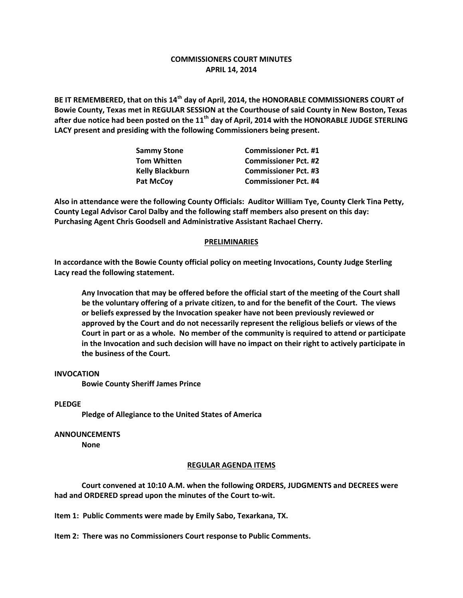# **COMMISSIONERS COURT MINUTES APRIL 14, 2014**

**BE IT REMEMBERED, that on this 14th day of April, 2014, the HONORABLE COMMISSIONERS COURT of Bowie County, Texas met in REGULAR SESSION at the Courthouse of said County in New Boston, Texas after due notice had been posted on the 11th day of April, 2014 with the HONORABLE JUDGE STERLING LACY present and presiding with the following Commissioners being present.**

| <b>Sammy Stone</b>     | <b>Commissioner Pct. #1</b> |
|------------------------|-----------------------------|
| <b>Tom Whitten</b>     | <b>Commissioner Pct. #2</b> |
| <b>Kelly Blackburn</b> | <b>Commissioner Pct. #3</b> |
| <b>Pat McCov</b>       | <b>Commissioner Pct. #4</b> |

**Also in attendance were the following County Officials: Auditor William Tye, County Clerk Tina Petty, County Legal Advisor Carol Dalby and the following staff members also present on this day: Purchasing Agent Chris Goodsell and Administrative Assistant Rachael Cherry.**

## **PRELIMINARIES**

**In accordance with the Bowie County official policy on meeting Invocations, County Judge Sterling Lacy read the following statement.**

**Any Invocation that may be offered before the official start of the meeting of the Court shall be the voluntary offering of a private citizen, to and for the benefit of the Court. The views or beliefs expressed by the Invocation speaker have not been previously reviewed or approved by the Court and do not necessarily represent the religious beliefs or views of the Court in part or as a whole. No member of the community is required to attend or participate in the Invocation and such decision will have no impact on their right to actively participate in the business of the Court.**

### **INVOCATION**

**Bowie County Sheriff James Prince**

#### **PLEDGE**

**Pledge of Allegiance to the United States of America**

#### **ANNOUNCEMENTS**

**None**

#### **REGULAR AGENDA ITEMS**

**Court convened at 10:10 A.M. when the following ORDERS, JUDGMENTS and DECREES were had and ORDERED spread upon the minutes of the Court to-wit.**

**Item 1: Public Comments were made by Emily Sabo, Texarkana, TX.**

**Item 2: There was no Commissioners Court response to Public Comments.**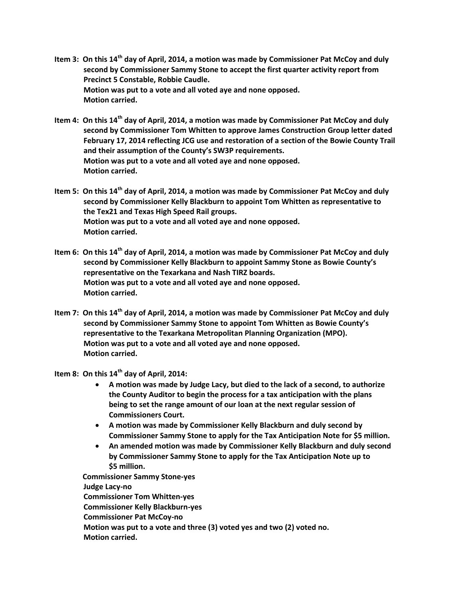- **Item 3: On this 14th day of April, 2014, a motion was made by Commissioner Pat McCoy and duly second by Commissioner Sammy Stone to accept the first quarter activity report from Precinct 5 Constable, Robbie Caudle. Motion was put to a vote and all voted aye and none opposed. Motion carried.**
- **Item 4: On this 14th day of April, 2014, a motion was made by Commissioner Pat McCoy and duly second by Commissioner Tom Whitten to approve James Construction Group letter dated February 17, 2014 reflecting JCG use and restoration of a section of the Bowie County Trail and their assumption of the County's SW3P requirements. Motion was put to a vote and all voted aye and none opposed. Motion carried.**
- **Item 5: On this 14th day of April, 2014, a motion was made by Commissioner Pat McCoy and duly second by Commissioner Kelly Blackburn to appoint Tom Whitten as representative to the Tex21 and Texas High Speed Rail groups. Motion was put to a vote and all voted aye and none opposed. Motion carried.**
- **Item 6: On this 14th day of April, 2014, a motion was made by Commissioner Pat McCoy and duly second by Commissioner Kelly Blackburn to appoint Sammy Stone as Bowie County's representative on the Texarkana and Nash TIRZ boards. Motion was put to a vote and all voted aye and none opposed. Motion carried.**
- **Item 7: On this 14th day of April, 2014, a motion was made by Commissioner Pat McCoy and duly second by Commissioner Sammy Stone to appoint Tom Whitten as Bowie County's representative to the Texarkana Metropolitan Planning Organization (MPO). Motion was put to a vote and all voted aye and none opposed. Motion carried.**
- **Item 8: On this 14th day of April, 2014:**
	- **A motion was made by Judge Lacy, but died to the lack of a second, to authorize the County Auditor to begin the process for a tax anticipation with the plans being to set the range amount of our loan at the next regular session of Commissioners Court.**
	- **A motion was made by Commissioner Kelly Blackburn and duly second by Commissioner Sammy Stone to apply for the Tax Anticipation Note for \$5 million.**
	- **An amended motion was made by Commissioner Kelly Blackburn and duly second by Commissioner Sammy Stone to apply for the Tax Anticipation Note up to \$5 million.**

 **Commissioner Sammy Stone-yes Judge Lacy-no Commissioner Tom Whitten-yes Commissioner Kelly Blackburn-yes Commissioner Pat McCoy-no Motion was put to a vote and three (3) voted yes and two (2) voted no. Motion carried.**